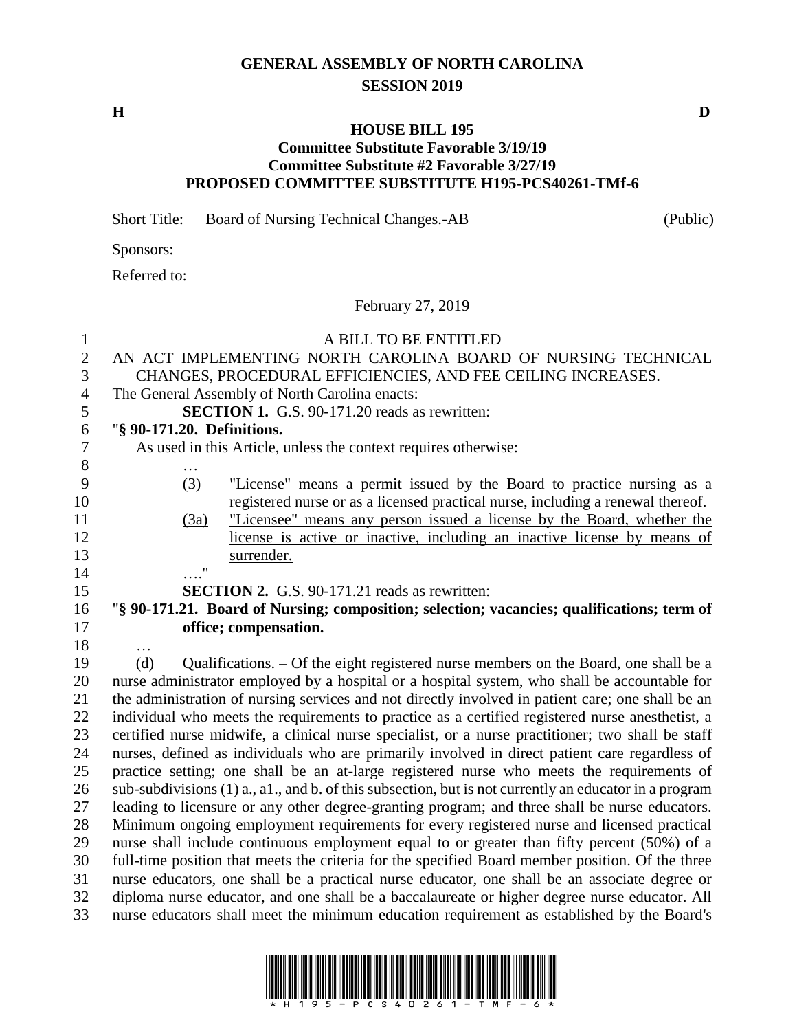## **GENERAL ASSEMBLY OF NORTH CAROLINA SESSION 2019**

## **HOUSE BILL 195**

## **Committee Substitute Favorable 3/19/19 Committee Substitute #2 Favorable 3/27/19 PROPOSED COMMITTEE SUBSTITUTE H195-PCS40261-TMf-6**

Short Title: Board of Nursing Technical Changes.-AB (Public)

Sponsors:

Referred to:

February 27, 2019

 A BILL TO BE ENTITLED AN ACT IMPLEMENTING NORTH CAROLINA BOARD OF NURSING TECHNICAL CHANGES, PROCEDURAL EFFICIENCIES, AND FEE CEILING INCREASES. The General Assembly of North Carolina enacts: **SECTION 1.** G.S. 90-171.20 reads as rewritten: "**§ 90-171.20. Definitions.** As used in this Article, unless the context requires otherwise: … (3) "License" means a permit issued by the Board to practice nursing as a registered nurse or as a licensed practical nurse, including a renewal thereof. (3a) "Licensee" means any person issued a license by the Board, whether the license is active or inactive, including an inactive license by means of surrender. …." **SECTION 2.** G.S. 90-171.21 reads as rewritten: "**§ 90-171.21. Board of Nursing; composition; selection; vacancies; qualifications; term of office; compensation.** … (d) Qualifications. – Of the eight registered nurse members on the Board, one shall be a nurse administrator employed by a hospital or a hospital system, who shall be accountable for the administration of nursing services and not directly involved in patient care; one shall be an individual who meets the requirements to practice as a certified registered nurse anesthetist, a certified nurse midwife, a clinical nurse specialist, or a nurse practitioner; two shall be staff

 nurses, defined as individuals who are primarily involved in direct patient care regardless of practice setting; one shall be an at-large registered nurse who meets the requirements of sub-subdivisions (1) a., a1., and b. of this subsection, but is not currently an educator in a program leading to licensure or any other degree-granting program; and three shall be nurse educators. Minimum ongoing employment requirements for every registered nurse and licensed practical nurse shall include continuous employment equal to or greater than fifty percent (50%) of a full-time position that meets the criteria for the specified Board member position. Of the three nurse educators, one shall be a practical nurse educator, one shall be an associate degree or diploma nurse educator, and one shall be a baccalaureate or higher degree nurse educator. All nurse educators shall meet the minimum education requirement as established by the Board's



**H D**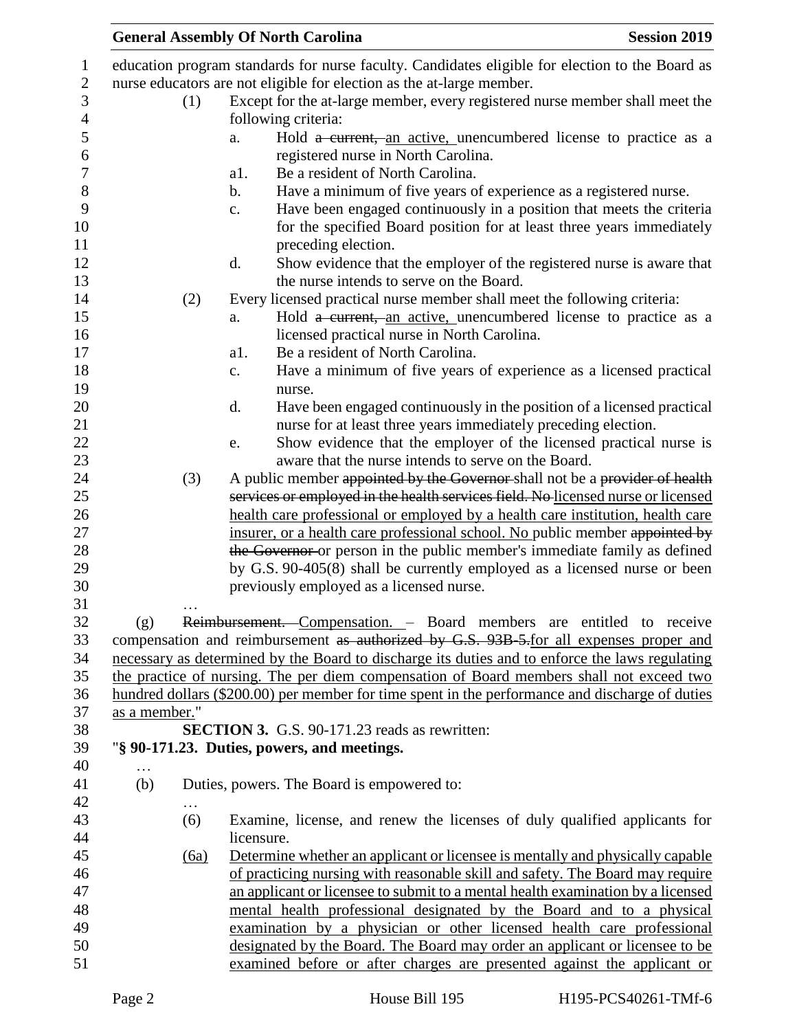|               |          |                | <b>General Assembly Of North Carolina</b>                                                                                                     | <b>Session 2019</b> |
|---------------|----------|----------------|-----------------------------------------------------------------------------------------------------------------------------------------------|---------------------|
|               |          |                | education program standards for nurse faculty. Candidates eligible for election to the Board as                                               |                     |
|               |          |                | nurse educators are not eligible for election as the at-large member.                                                                         |                     |
|               | (1)      |                | Except for the at-large member, every registered nurse member shall meet the                                                                  |                     |
|               |          |                | following criteria:                                                                                                                           |                     |
|               |          | a.             | Hold a current, an active, unencumbered license to practice as a                                                                              |                     |
|               |          |                | registered nurse in North Carolina.                                                                                                           |                     |
|               |          | a1.            | Be a resident of North Carolina.                                                                                                              |                     |
|               |          | $\mathbf b$ .  | Have a minimum of five years of experience as a registered nurse.                                                                             |                     |
|               |          |                |                                                                                                                                               |                     |
|               |          | $\mathbf{c}$ . | Have been engaged continuously in a position that meets the criteria<br>for the specified Board position for at least three years immediately |                     |
|               |          |                | preceding election.                                                                                                                           |                     |
|               |          | d.             | Show evidence that the employer of the registered nurse is aware that                                                                         |                     |
|               |          |                | the nurse intends to serve on the Board.                                                                                                      |                     |
|               | (2)      |                | Every licensed practical nurse member shall meet the following criteria:                                                                      |                     |
|               |          | a.             | Hold a current, an active, unencumbered license to practice as a<br>licensed practical nurse in North Carolina.                               |                     |
|               |          | a1.            | Be a resident of North Carolina.                                                                                                              |                     |
|               |          | $\mathbf{c}$ . | Have a minimum of five years of experience as a licensed practical<br>nurse.                                                                  |                     |
|               |          | d.             | Have been engaged continuously in the position of a licensed practical                                                                        |                     |
|               |          |                | nurse for at least three years immediately preceding election.                                                                                |                     |
|               |          | e.             | Show evidence that the employer of the licensed practical nurse is                                                                            |                     |
|               |          |                | aware that the nurse intends to serve on the Board.                                                                                           |                     |
|               | (3)      |                | A public member appointed by the Governor shall not be a provider of health                                                                   |                     |
|               |          |                | services or employed in the health services field. No licensed nurse or licensed                                                              |                     |
|               |          |                | health care professional or employed by a health care institution, health care                                                                |                     |
|               |          |                | insurer, or a health care professional school. No public member appointed by                                                                  |                     |
|               |          |                | the Governor or person in the public member's immediate family as defined                                                                     |                     |
|               |          |                | by G.S. 90-405(8) shall be currently employed as a licensed nurse or been                                                                     |                     |
|               |          |                | previously employed as a licensed nurse.                                                                                                      |                     |
|               | .        |                |                                                                                                                                               |                     |
| (g)           |          |                | Reimbursement. Compensation. - Board members are entitled to receive                                                                          |                     |
|               |          |                | compensation and reimbursement as authorized by G.S. 93B-5-for all expenses proper and                                                        |                     |
|               |          |                | necessary as determined by the Board to discharge its duties and to enforce the laws regulating                                               |                     |
|               |          |                | the practice of nursing. The per diem compensation of Board members shall not exceed two                                                      |                     |
|               |          |                | hundred dollars (\$200.00) per member for time spent in the performance and discharge of duties                                               |                     |
| as a member." |          |                |                                                                                                                                               |                     |
|               |          |                | <b>SECTION 3.</b> G.S. 90-171.23 reads as rewritten:                                                                                          |                     |
|               |          |                | "§ 90-171.23. Duties, powers, and meetings.                                                                                                   |                     |
| $\cdots$      |          |                |                                                                                                                                               |                     |
| (b)           | $\cdots$ |                | Duties, powers. The Board is empowered to:                                                                                                    |                     |
|               | (6)      | licensure.     | Examine, license, and renew the licenses of duly qualified applicants for                                                                     |                     |
|               | (6a)     |                | Determine whether an applicant or licensee is mentally and physically capable                                                                 |                     |
|               |          |                | of practicing nursing with reasonable skill and safety. The Board may require                                                                 |                     |
|               |          |                | an applicant or licensee to submit to a mental health examination by a licensed                                                               |                     |
|               |          |                | mental health professional designated by the Board and to a physical                                                                          |                     |
|               |          |                | examination by a physician or other licensed health care professional                                                                         |                     |
|               |          |                | designated by the Board. The Board may order an applicant or licensee to be                                                                   |                     |
|               |          |                | examined before or after charges are presented against the applicant or                                                                       |                     |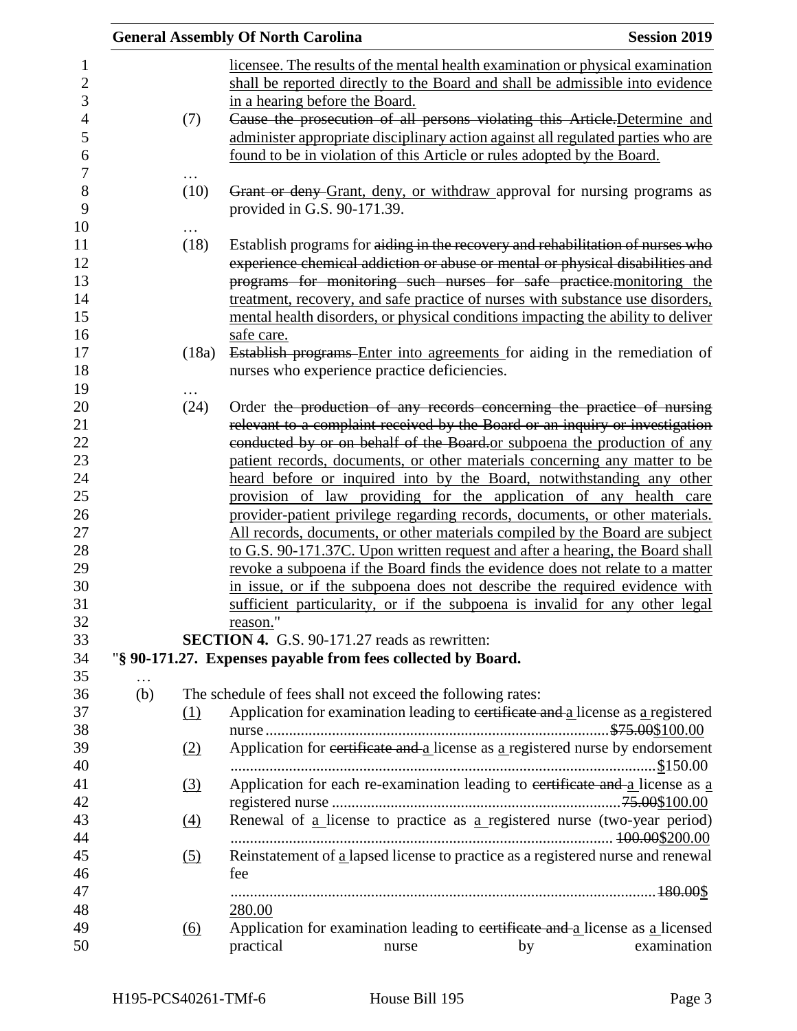|          |                   | <b>General Assembly Of North Carolina</b> |                                                                                                                                                                                                                                                                                                                                                                                                                |    | <b>Session 2019</b> |
|----------|-------------------|-------------------------------------------|----------------------------------------------------------------------------------------------------------------------------------------------------------------------------------------------------------------------------------------------------------------------------------------------------------------------------------------------------------------------------------------------------------------|----|---------------------|
|          | (7)               | in a hearing before the Board.            | licensee. The results of the mental health examination or physical examination<br>shall be reported directly to the Board and shall be admissible into evidence<br>Cause the prosecution of all persons violating this Article-Determine and                                                                                                                                                                   |    |                     |
|          |                   |                                           | administer appropriate disciplinary action against all regulated parties who are<br>found to be in violation of this Article or rules adopted by the Board.                                                                                                                                                                                                                                                    |    |                     |
|          | (10)              | provided in G.S. 90-171.39.               | Grant or deny Grant, deny, or withdraw approval for nursing programs as                                                                                                                                                                                                                                                                                                                                        |    |                     |
|          | (18)              |                                           | Establish programs for aiding in the recovery and rehabilitation of nurses who<br>experience chemical addiction or abuse or mental or physical disabilities and<br>programs for monitoring such nurses for safe practice. monitoring the<br>treatment, recovery, and safe practice of nurses with substance use disorders,<br>mental health disorders, or physical conditions impacting the ability to deliver |    |                     |
|          | (18a)             | safe care.                                | Establish programs Enter into agreements for aiding in the remediation of<br>nurses who experience practice deficiencies.                                                                                                                                                                                                                                                                                      |    |                     |
|          | (24)              |                                           |                                                                                                                                                                                                                                                                                                                                                                                                                |    |                     |
|          |                   |                                           | Order the production of any records concerning the practice of nursing<br>relevant to a complaint received by the Board or an inquiry or investigation                                                                                                                                                                                                                                                         |    |                     |
|          |                   |                                           | conducted by or on behalf of the Board or subpoena the production of any                                                                                                                                                                                                                                                                                                                                       |    |                     |
|          |                   |                                           | patient records, documents, or other materials concerning any matter to be                                                                                                                                                                                                                                                                                                                                     |    |                     |
|          |                   |                                           | heard before or inquired into by the Board, notwithstanding any other                                                                                                                                                                                                                                                                                                                                          |    |                     |
|          |                   |                                           | provision of law providing for the application of any health care                                                                                                                                                                                                                                                                                                                                              |    |                     |
|          |                   |                                           | provider-patient privilege regarding records, documents, or other materials.                                                                                                                                                                                                                                                                                                                                   |    |                     |
|          |                   |                                           | All records, documents, or other materials compiled by the Board are subject                                                                                                                                                                                                                                                                                                                                   |    |                     |
|          |                   |                                           | to G.S. 90-171.37C. Upon written request and after a hearing, the Board shall                                                                                                                                                                                                                                                                                                                                  |    |                     |
|          |                   |                                           | revoke a subpoena if the Board finds the evidence does not relate to a matter                                                                                                                                                                                                                                                                                                                                  |    |                     |
|          |                   | reason."                                  | in issue, or if the subpoena does not describe the required evidence with<br>sufficient particularity, or if the subpoena is invalid for any other legal                                                                                                                                                                                                                                                       |    |                     |
|          |                   |                                           | SECTION 4. G.S. 90-171.27 reads as rewritten:                                                                                                                                                                                                                                                                                                                                                                  |    |                     |
|          |                   |                                           | "§ 90-171.27. Expenses payable from fees collected by Board.                                                                                                                                                                                                                                                                                                                                                   |    |                     |
| $\cdots$ |                   |                                           |                                                                                                                                                                                                                                                                                                                                                                                                                |    |                     |
| (b)      |                   |                                           | The schedule of fees shall not exceed the following rates:                                                                                                                                                                                                                                                                                                                                                     |    |                     |
|          | (1)               |                                           | Application for examination leading to certificate and a license as a registered                                                                                                                                                                                                                                                                                                                               |    |                     |
|          |                   |                                           |                                                                                                                                                                                                                                                                                                                                                                                                                |    |                     |
|          | (2)               |                                           | Application for eertificate and a license as a registered nurse by endorsement                                                                                                                                                                                                                                                                                                                                 |    |                     |
|          | $\left(3\right)$  |                                           | Application for each re-examination leading to eertificate and a license as a                                                                                                                                                                                                                                                                                                                                  |    |                     |
|          |                   |                                           |                                                                                                                                                                                                                                                                                                                                                                                                                |    |                     |
|          | (4)               |                                           | Renewal of a license to practice as a registered nurse (two-year period)                                                                                                                                                                                                                                                                                                                                       |    |                     |
|          | (5)               |                                           | Reinstatement of a lapsed license to practice as a registered nurse and renewal                                                                                                                                                                                                                                                                                                                                |    |                     |
|          |                   | fee                                       |                                                                                                                                                                                                                                                                                                                                                                                                                |    |                     |
|          |                   |                                           |                                                                                                                                                                                                                                                                                                                                                                                                                |    |                     |
|          |                   | 280.00                                    |                                                                                                                                                                                                                                                                                                                                                                                                                |    |                     |
|          | $\underline{(6)}$ |                                           | Application for examination leading to certificate and a license as a licensed                                                                                                                                                                                                                                                                                                                                 |    |                     |
|          |                   | practical                                 | nurse                                                                                                                                                                                                                                                                                                                                                                                                          | by | examination         |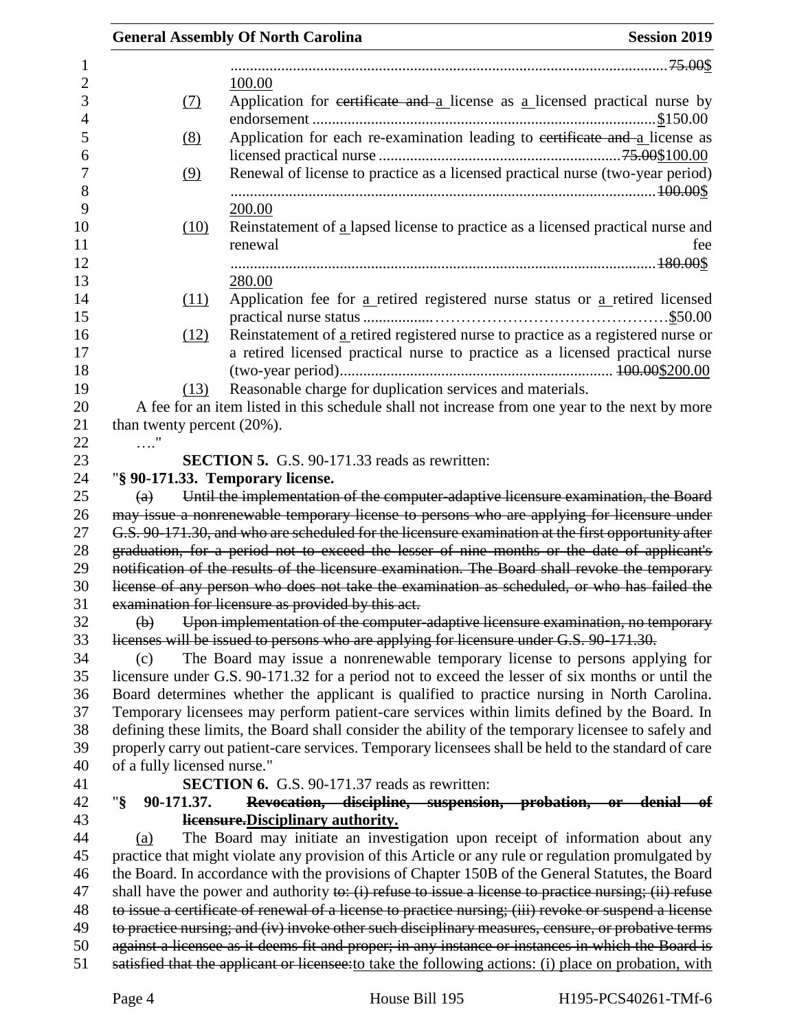|                                | <b>General Assembly Of North Carolina</b><br><b>Session 2019</b>                                                                                                                                    |
|--------------------------------|-----------------------------------------------------------------------------------------------------------------------------------------------------------------------------------------------------|
|                                |                                                                                                                                                                                                     |
|                                | 100.00                                                                                                                                                                                              |
| (7)                            | Application for certificate and $a$ license as a licensed practical nurse by                                                                                                                        |
| (8)                            | Application for each re-examination leading to certificate and a license as                                                                                                                         |
| (9)                            | Renewal of license to practice as a licensed practical nurse (two-year period)                                                                                                                      |
|                                | 200.00                                                                                                                                                                                              |
| (10)                           | Reinstatement of a lapsed license to practice as a licensed practical nurse and<br>renewal<br>fee                                                                                                   |
|                                |                                                                                                                                                                                                     |
|                                | 280.00                                                                                                                                                                                              |
| (11)                           | Application fee for a retired registered nurse status or a retired licensed                                                                                                                         |
|                                |                                                                                                                                                                                                     |
| (12)                           | Reinstatement of a retired registered nurse to practice as a registered nurse or                                                                                                                    |
|                                | a retired licensed practical nurse to practice as a licensed practical nurse                                                                                                                        |
| (13)                           | Reasonable charge for duplication services and materials.                                                                                                                                           |
|                                | A fee for an item listed in this schedule shall not increase from one year to the next by more                                                                                                      |
| than twenty percent $(20\%)$ . |                                                                                                                                                                                                     |
| $\ldots$ "                     |                                                                                                                                                                                                     |
|                                | <b>SECTION 5.</b> G.S. 90-171.33 reads as rewritten:                                                                                                                                                |
|                                | "§ 90-171.33. Temporary license.                                                                                                                                                                    |
| $\left(\mathrm{a}\right)$      | Until the implementation of the computer-adaptive licensure examination, the Board                                                                                                                  |
|                                | may issue a nonrenewable temporary license to persons who are applying for licensure under                                                                                                          |
|                                | G.S. 90-171.30, and who are scheduled for the licensure examination at the first opportunity after                                                                                                  |
|                                | graduation, for a period not to exceed the lesser of nine months or the date of applicant's                                                                                                         |
|                                | notification of the results of the licensure examination. The Board shall revoke the temporary                                                                                                      |
|                                | license of any person who does not take the examination as scheduled, or who has failed the                                                                                                         |
|                                | examination for licensure as provided by this act.                                                                                                                                                  |
| $\bigoplus$                    | Upon implementation of the computer-adaptive licensure examination, no temporary                                                                                                                    |
|                                | licenses will be issued to persons who are applying for licensure under G.S. 90-171.30.                                                                                                             |
| (c)                            | The Board may issue a nonrenewable temporary license to persons applying for                                                                                                                        |
|                                | licensure under G.S. 90-171.32 for a period not to exceed the lesser of six months or until the                                                                                                     |
|                                | Board determines whether the applicant is qualified to practice nursing in North Carolina.                                                                                                          |
|                                | Temporary licensees may perform patient-care services within limits defined by the Board. In<br>defining these limits, the Board shall consider the ability of the temporary licensee to safely and |
|                                | properly carry out patient-care services. Temporary licensees shall be held to the standard of care                                                                                                 |
| of a fully licensed nurse."    |                                                                                                                                                                                                     |
|                                | <b>SECTION 6.</b> G.S. 90-171.37 reads as rewritten:                                                                                                                                                |
| " $\S$<br>90-171.37.           | Revocation, discipline, suspension, probation, or denial of                                                                                                                                         |
|                                | licensure. Disciplinary authority.                                                                                                                                                                  |
| (a)                            | The Board may initiate an investigation upon receipt of information about any                                                                                                                       |
|                                | practice that might violate any provision of this Article or any rule or regulation promulgated by                                                                                                  |
|                                | the Board. In accordance with the provisions of Chapter 150B of the General Statutes, the Board                                                                                                     |
|                                | shall have the power and authority to: $(i)$ refuse to issue a license to practice nursing; $(ii)$ refuse                                                                                           |
|                                | to issue a certificate of renewal of a license to practice nursing; (iii) revoke or suspend a license                                                                                               |
|                                | to practice nursing; and (iv) invoke other such disciplinary measures, censure, or probative terms                                                                                                  |
|                                | against a licensee as it deems fit and proper; in any instance or instances in which the Board is                                                                                                   |
|                                | satisfied that the applicant or licensee: to take the following actions: (i) place on probation, with                                                                                               |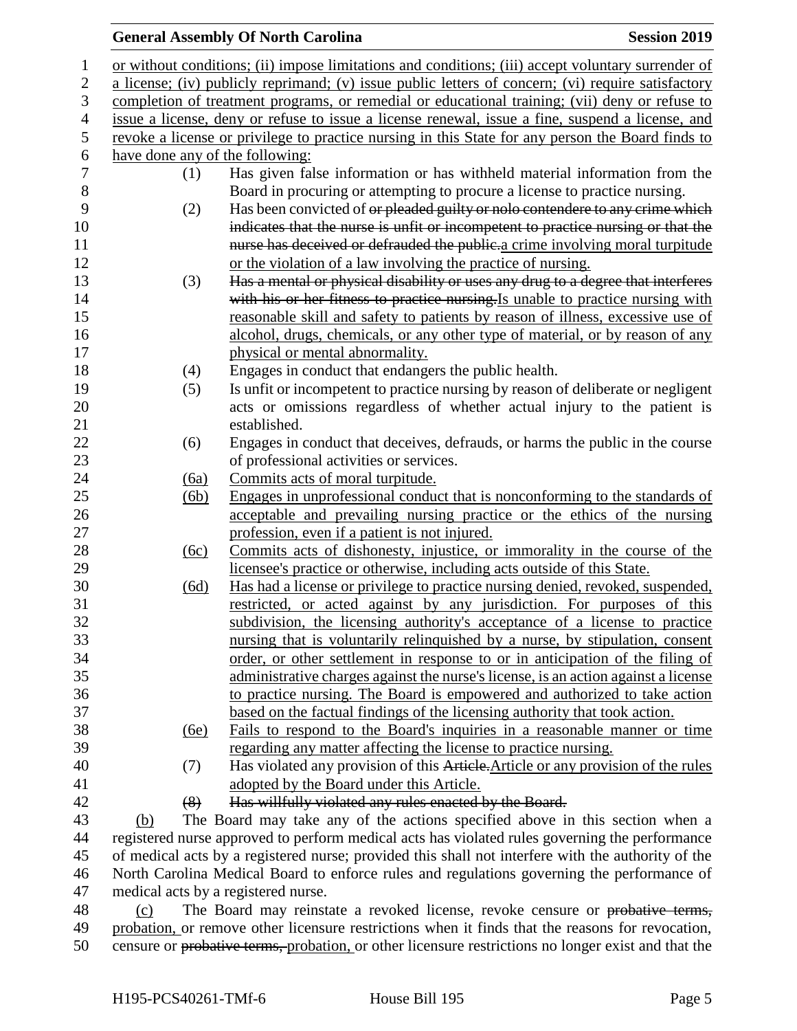## General Assembly Of North Carolina **Session 2019**

| $\mathbf 1$   |                                                                                                    |      | or without conditions; (ii) impose limitations and conditions; (iii) accept voluntary surrender of |  |  |
|---------------|----------------------------------------------------------------------------------------------------|------|----------------------------------------------------------------------------------------------------|--|--|
| $\mathbf{2}$  | a license; (iv) publicly reprimand; (v) issue public letters of concern; (vi) require satisfactory |      |                                                                                                    |  |  |
| 3             | completion of treatment programs, or remedial or educational training; (vii) deny or refuse to     |      |                                                                                                    |  |  |
| 4             |                                                                                                    |      | issue a license, deny or refuse to issue a license renewal, issue a fine, suspend a license, and   |  |  |
| $\mathfrak s$ |                                                                                                    |      | revoke a license or privilege to practice nursing in this State for any person the Board finds to  |  |  |
| 6             |                                                                                                    |      | have done any of the following:                                                                    |  |  |
| 7             |                                                                                                    | (1)  | Has given false information or has withheld material information from the                          |  |  |
| $8\,$         |                                                                                                    |      | Board in procuring or attempting to procure a license to practice nursing.                         |  |  |
| 9             |                                                                                                    | (2)  | Has been convicted of or pleaded guilty or nolo contendere to any crime which                      |  |  |
| 10            |                                                                                                    |      | indicates that the nurse is unfit or incompetent to practice nursing or that the                   |  |  |
| 11            |                                                                                                    |      | nurse has deceived or defrauded the public-a crime involving moral turpitude                       |  |  |
| 12            |                                                                                                    |      | or the violation of a law involving the practice of nursing.                                       |  |  |
| 13            |                                                                                                    | (3)  | Has a mental or physical disability or uses any drug to a degree that interferes                   |  |  |
| 14            |                                                                                                    |      | with his or her fitness to practice nursing. Is unable to practice nursing with                    |  |  |
| 15            |                                                                                                    |      | reasonable skill and safety to patients by reason of illness, excessive use of                     |  |  |
| 16            |                                                                                                    |      | alcohol, drugs, chemicals, or any other type of material, or by reason of any                      |  |  |
| 17            |                                                                                                    |      | physical or mental abnormality.                                                                    |  |  |
| 18            |                                                                                                    | (4)  | Engages in conduct that endangers the public health.                                               |  |  |
| 19            |                                                                                                    | (5)  | Is unfit or incompetent to practice nursing by reason of deliberate or negligent                   |  |  |
| 20            |                                                                                                    |      | acts or omissions regardless of whether actual injury to the patient is                            |  |  |
| 21            |                                                                                                    |      | established.                                                                                       |  |  |
| 22            |                                                                                                    | (6)  | Engages in conduct that deceives, defrauds, or harms the public in the course                      |  |  |
| 23            |                                                                                                    |      | of professional activities or services.                                                            |  |  |
| 24            |                                                                                                    | (6a) | Commits acts of moral turpitude.                                                                   |  |  |
| 25            |                                                                                                    | (6b) | Engages in unprofessional conduct that is nonconforming to the standards of                        |  |  |
| 26            |                                                                                                    |      | acceptable and prevailing nursing practice or the ethics of the nursing                            |  |  |
| 27            |                                                                                                    |      | profession, even if a patient is not injured.                                                      |  |  |
| 28            |                                                                                                    | (6c) | Commits acts of dishonesty, injustice, or immorality in the course of the                          |  |  |
| 29            |                                                                                                    |      | licensee's practice or otherwise, including acts outside of this State.                            |  |  |
| 30            |                                                                                                    | (6d) | Has had a license or privilege to practice nursing denied, revoked, suspended,                     |  |  |
| 31            |                                                                                                    |      | restricted, or acted against by any jurisdiction. For purposes of this                             |  |  |
| 32            |                                                                                                    |      | subdivision, the licensing authority's acceptance of a license to practice                         |  |  |
| 33            |                                                                                                    |      | nursing that is voluntarily relinquished by a nurse, by stipulation, consent                       |  |  |
| 34            |                                                                                                    |      | order, or other settlement in response to or in anticipation of the filing of                      |  |  |
| 35            |                                                                                                    |      | administrative charges against the nurse's license, is an action against a license                 |  |  |
| 36            |                                                                                                    |      | to practice nursing. The Board is empowered and authorized to take action                          |  |  |
| 37            |                                                                                                    |      | based on the factual findings of the licensing authority that took action.                         |  |  |
| 38            |                                                                                                    | (6e) | Fails to respond to the Board's inquiries in a reasonable manner or time                           |  |  |
| 39            |                                                                                                    |      | regarding any matter affecting the license to practice nursing.                                    |  |  |
| 40            |                                                                                                    | (7)  | Has violated any provision of this Article. Article or any provision of the rules                  |  |  |
| 41            |                                                                                                    |      | adopted by the Board under this Article.                                                           |  |  |
| 42            |                                                                                                    | (8)  | Has willfully violated any rules enacted by the Board.                                             |  |  |
| $\Lambda$     |                                                                                                    |      | $\lambda = 1$ and $\lambda = 1$ and $\lambda = 1$ and $\lambda = 1$                                |  |  |

 (b) The Board may take any of the actions specified above in this section when a registered nurse approved to perform medical acts has violated rules governing the performance of medical acts by a registered nurse; provided this shall not interfere with the authority of the North Carolina Medical Board to enforce rules and regulations governing the performance of medical acts by a registered nurse.

 (c) The Board may reinstate a revoked license, revoke censure or probative terms, probation, or remove other licensure restrictions when it finds that the reasons for revocation, censure or probative terms, probation, or other licensure restrictions no longer exist and that the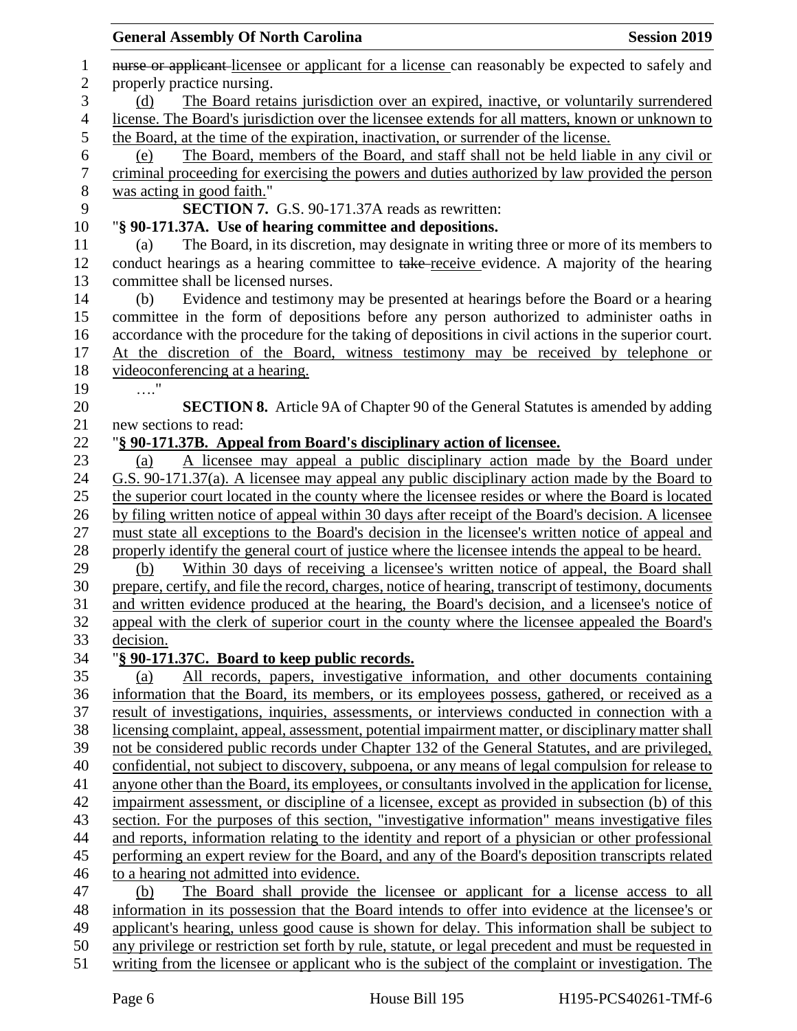| <b>General Assembly Of North Carolina</b>                                                             | <b>Session 2019</b> |
|-------------------------------------------------------------------------------------------------------|---------------------|
| nurse or applicant-licensee or applicant for a license can reasonably be expected to safely and       |                     |
| properly practice nursing.                                                                            |                     |
| The Board retains jurisdiction over an expired, inactive, or voluntarily surrendered<br>(d)           |                     |
| license. The Board's jurisdiction over the licensee extends for all matters, known or unknown to      |                     |
| the Board, at the time of the expiration, inactivation, or surrender of the license.                  |                     |
| The Board, members of the Board, and staff shall not be held liable in any civil or<br>(e)            |                     |
| criminal proceeding for exercising the powers and duties authorized by law provided the person        |                     |
| was acting in good faith."                                                                            |                     |
| <b>SECTION 7.</b> G.S. 90-171.37A reads as rewritten:                                                 |                     |
| "§ 90-171.37A. Use of hearing committee and depositions.                                              |                     |
| The Board, in its discretion, may designate in writing three or more of its members to<br>(a)         |                     |
| conduct hearings as a hearing committee to take-receive evidence. A majority of the hearing           |                     |
| committee shall be licensed nurses.                                                                   |                     |
| Evidence and testimony may be presented at hearings before the Board or a hearing<br>(b)              |                     |
| committee in the form of depositions before any person authorized to administer oaths in              |                     |
| accordance with the procedure for the taking of depositions in civil actions in the superior court.   |                     |
| At the discretion of the Board, witness testimony may be received by telephone or                     |                     |
| videoconferencing at a hearing.                                                                       |                     |
|                                                                                                       |                     |
| <b>SECTION 8.</b> Article 9A of Chapter 90 of the General Statutes is amended by adding               |                     |
| new sections to read:                                                                                 |                     |
| "§ 90-171.37B. Appeal from Board's disciplinary action of licensee.                                   |                     |
| A licensee may appeal a public disciplinary action made by the Board under<br>(a)                     |                     |
| G.S. 90-171.37(a). A licensee may appeal any public disciplinary action made by the Board to          |                     |
| the superior court located in the county where the licensee resides or where the Board is located     |                     |
| by filing written notice of appeal within 30 days after receipt of the Board's decision. A licensee   |                     |
| must state all exceptions to the Board's decision in the licensee's written notice of appeal and      |                     |
| properly identify the general court of justice where the licensee intends the appeal to be heard.     |                     |
| Within 30 days of receiving a licensee's written notice of appeal, the Board shall<br>(b)             |                     |
| prepare, certify, and file the record, charges, notice of hearing, transcript of testimony, documents |                     |
| and written evidence produced at the hearing, the Board's decision, and a licensee's notice of        |                     |
| appeal with the clerk of superior court in the county where the licensee appealed the Board's         |                     |
| decision.                                                                                             |                     |
| "§ 90-171.37C. Board to keep public records.                                                          |                     |
| All records, papers, investigative information, and other documents containing<br>(a)                 |                     |
| information that the Board, its members, or its employees possess, gathered, or received as a         |                     |
| result of investigations, inquiries, assessments, or interviews conducted in connection with a        |                     |
| licensing complaint, appeal, assessment, potential impairment matter, or disciplinary matter shall    |                     |
| not be considered public records under Chapter 132 of the General Statutes, and are privileged,       |                     |
| confidential, not subject to discovery, subpoena, or any means of legal compulsion for release to     |                     |
| anyone other than the Board, its employees, or consultants involved in the application for license,   |                     |
| impairment assessment, or discipline of a licensee, except as provided in subsection (b) of this      |                     |
| section. For the purposes of this section, "investigative information" means investigative files      |                     |
|                                                                                                       |                     |
| and reports, information relating to the identity and report of a physician or other professional     |                     |
| performing an expert review for the Board, and any of the Board's deposition transcripts related      |                     |
| to a hearing not admitted into evidence.                                                              |                     |
| The Board shall provide the licensee or applicant for a license access to all<br>(b)                  |                     |
| information in its possession that the Board intends to offer into evidence at the licensee's or      |                     |
| applicant's hearing, unless good cause is shown for delay. This information shall be subject to       |                     |
| any privilege or restriction set forth by rule, statute, or legal precedent and must be requested in  |                     |
| writing from the licensee or applicant who is the subject of the complaint or investigation. The      |                     |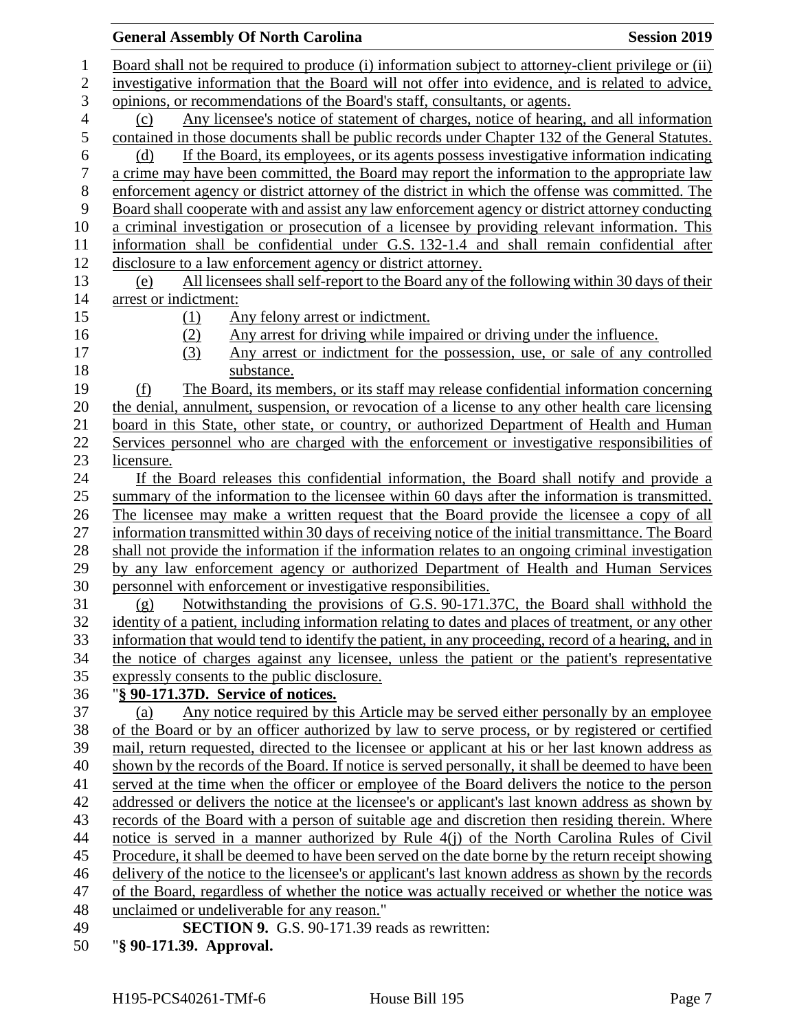| <b>Session 2019</b><br><b>General Assembly Of North Carolina</b>                                     |  |
|------------------------------------------------------------------------------------------------------|--|
| Board shall not be required to produce (i) information subject to attorney-client privilege or (ii)  |  |
| investigative information that the Board will not offer into evidence, and is related to advice,     |  |
| opinions, or recommendations of the Board's staff, consultants, or agents.                           |  |
| Any licensee's notice of statement of charges, notice of hearing, and all information<br>(c)         |  |
| contained in those documents shall be public records under Chapter 132 of the General Statutes.      |  |
| If the Board, its employees, or its agents possess investigative information indicating<br>(d)       |  |
| a crime may have been committed, the Board may report the information to the appropriate law         |  |
| enforcement agency or district attorney of the district in which the offense was committed. The      |  |
| Board shall cooperate with and assist any law enforcement agency or district attorney conducting     |  |
| a criminal investigation or prosecution of a licensee by providing relevant information. This        |  |
| information shall be confidential under G.S. 132-1.4 and shall remain confidential after             |  |
| disclosure to a law enforcement agency or district attorney.                                         |  |
| All licensees shall self-report to the Board any of the following within 30 days of their<br>(e)     |  |
| arrest or indictment:                                                                                |  |
| Any felony arrest or indictment.<br>(1)                                                              |  |
| Any arrest for driving while impaired or driving under the influence.<br>(2)                         |  |
| (3)<br>Any arrest or indictment for the possession, use, or sale of any controlled                   |  |
| substance.                                                                                           |  |
| The Board, its members, or its staff may release confidential information concerning<br>(f)          |  |
| the denial, annulment, suspension, or revocation of a license to any other health care licensing     |  |
| board in this State, other state, or country, or authorized Department of Health and Human           |  |
| Services personnel who are charged with the enforcement or investigative responsibilities of         |  |
| licensure.                                                                                           |  |
| If the Board releases this confidential information, the Board shall notify and provide a            |  |
| summary of the information to the licensee within 60 days after the information is transmitted.      |  |
| The licensee may make a written request that the Board provide the licensee a copy of all            |  |
| information transmitted within 30 days of receiving notice of the initial transmittance. The Board   |  |
| shall not provide the information if the information relates to an ongoing criminal investigation    |  |
| by any law enforcement agency or authorized Department of Health and Human Services                  |  |
| personnel with enforcement or investigative responsibilities.                                        |  |
| Notwithstanding the provisions of G.S. 90-171.37C, the Board shall withhold the<br>(g)               |  |
| identity of a patient, including information relating to dates and places of treatment, or any other |  |
| information that would tend to identify the patient, in any proceeding, record of a hearing, and in  |  |
| the notice of charges against any licensee, unless the patient or the patient's representative       |  |
| expressly consents to the public disclosure.                                                         |  |
| "§ 90-171.37D. Service of notices.                                                                   |  |
| Any notice required by this Article may be served either personally by an employee<br>(a)            |  |
| of the Board or by an officer authorized by law to serve process, or by registered or certified      |  |
| mail, return requested, directed to the licensee or applicant at his or her last known address as    |  |
| shown by the records of the Board. If notice is served personally, it shall be deemed to have been   |  |
| served at the time when the officer or employee of the Board delivers the notice to the person       |  |
| addressed or delivers the notice at the licensee's or applicant's last known address as shown by     |  |
| records of the Board with a person of suitable age and discretion then residing therein. Where       |  |
| notice is served in a manner authorized by Rule 4(j) of the North Carolina Rules of Civil            |  |
| Procedure, it shall be deemed to have been served on the date borne by the return receipt showing    |  |
| delivery of the notice to the licensee's or applicant's last known address as shown by the records   |  |
| of the Board, regardless of whether the notice was actually received or whether the notice was       |  |
| unclaimed or undeliverable for any reason."<br><b>SECTION 9.</b> G.S. 90-171.39 reads as rewritten:  |  |
| "§ 90-171.39. Approval.                                                                              |  |
|                                                                                                      |  |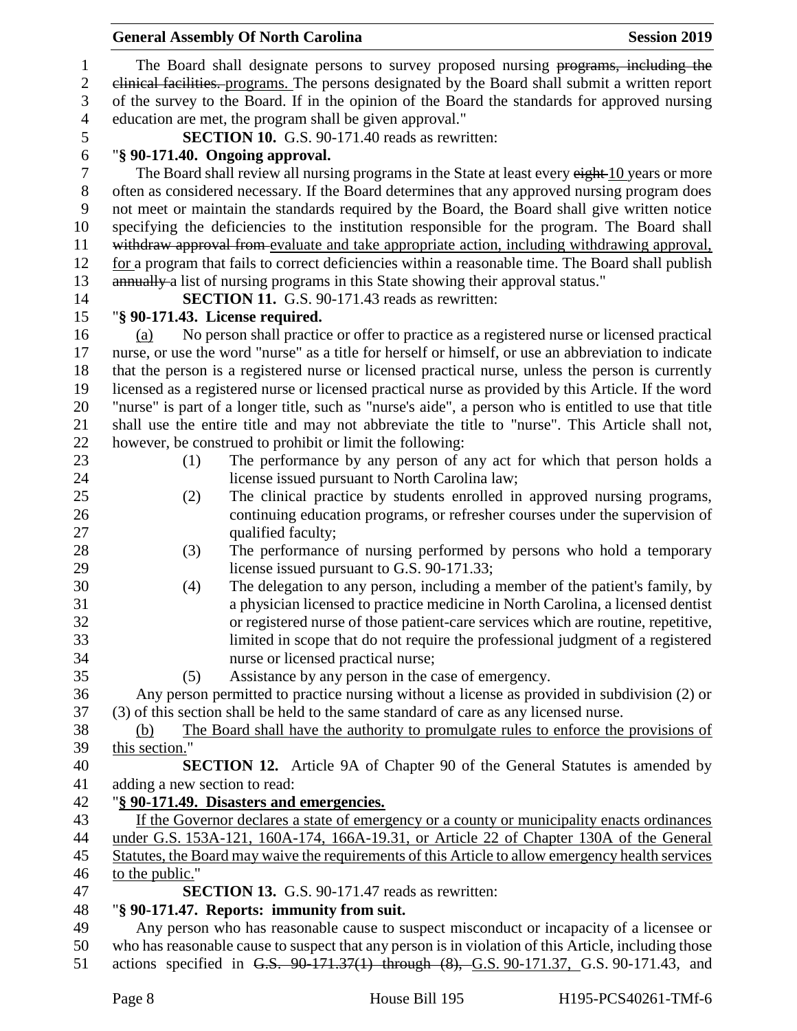|                               | <b>General Assembly Of North Carolina</b>                                                                                                                                                          | <b>Session 2019</b> |
|-------------------------------|----------------------------------------------------------------------------------------------------------------------------------------------------------------------------------------------------|---------------------|
|                               | The Board shall designate persons to survey proposed nursing programs, including the                                                                                                               |                     |
|                               | elinical facilities. programs. The persons designated by the Board shall submit a written report                                                                                                   |                     |
|                               | of the survey to the Board. If in the opinion of the Board the standards for approved nursing                                                                                                      |                     |
|                               | education are met, the program shall be given approval."                                                                                                                                           |                     |
|                               | <b>SECTION 10.</b> G.S. 90-171.40 reads as rewritten:                                                                                                                                              |                     |
|                               | "§ 90-171.40. Ongoing approval.                                                                                                                                                                    |                     |
|                               | The Board shall review all nursing programs in the State at least every eight 10 years or more                                                                                                     |                     |
|                               | often as considered necessary. If the Board determines that any approved nursing program does                                                                                                      |                     |
|                               | not meet or maintain the standards required by the Board, the Board shall give written notice                                                                                                      |                     |
|                               | specifying the deficiencies to the institution responsible for the program. The Board shall                                                                                                        |                     |
|                               | withdraw approval from evaluate and take appropriate action, including withdrawing approval,<br>for a program that fails to correct deficiencies within a reasonable time. The Board shall publish |                     |
|                               | annually a list of nursing programs in this State showing their approval status."                                                                                                                  |                     |
|                               | <b>SECTION 11.</b> G.S. 90-171.43 reads as rewritten:                                                                                                                                              |                     |
|                               | "§ 90-171.43. License required.                                                                                                                                                                    |                     |
| (a)                           | No person shall practice or offer to practice as a registered nurse or licensed practical                                                                                                          |                     |
|                               | nurse, or use the word "nurse" as a title for herself or himself, or use an abbreviation to indicate                                                                                               |                     |
|                               | that the person is a registered nurse or licensed practical nurse, unless the person is currently                                                                                                  |                     |
|                               | licensed as a registered nurse or licensed practical nurse as provided by this Article. If the word                                                                                                |                     |
|                               | "nurse" is part of a longer title, such as "nurse's aide", a person who is entitled to use that title                                                                                              |                     |
|                               | shall use the entire title and may not abbreviate the title to "nurse". This Article shall not,                                                                                                    |                     |
|                               | however, be construed to prohibit or limit the following:                                                                                                                                          |                     |
| (1)                           | The performance by any person of any act for which that person holds a                                                                                                                             |                     |
|                               | license issued pursuant to North Carolina law;                                                                                                                                                     |                     |
| (2)                           | The clinical practice by students enrolled in approved nursing programs,                                                                                                                           |                     |
|                               | continuing education programs, or refresher courses under the supervision of                                                                                                                       |                     |
|                               | qualified faculty;                                                                                                                                                                                 |                     |
| (3)                           | The performance of nursing performed by persons who hold a temporary                                                                                                                               |                     |
|                               | license issued pursuant to G.S. 90-171.33;                                                                                                                                                         |                     |
| (4)                           | The delegation to any person, including a member of the patient's family, by                                                                                                                       |                     |
|                               | a physician licensed to practice medicine in North Carolina, a licensed dentist                                                                                                                    |                     |
|                               | or registered nurse of those patient-care services which are routine, repetitive,                                                                                                                  |                     |
|                               | limited in scope that do not require the professional judgment of a registered                                                                                                                     |                     |
| (5)                           | nurse or licensed practical nurse;<br>Assistance by any person in the case of emergency.                                                                                                           |                     |
|                               | Any person permitted to practice nursing without a license as provided in subdivision (2) or                                                                                                       |                     |
|                               | (3) of this section shall be held to the same standard of care as any licensed nurse.                                                                                                              |                     |
| (b)                           | The Board shall have the authority to promulgate rules to enforce the provisions of                                                                                                                |                     |
| this section."                |                                                                                                                                                                                                    |                     |
|                               | <b>SECTION 12.</b> Article 9A of Chapter 90 of the General Statutes is amended by                                                                                                                  |                     |
| adding a new section to read: |                                                                                                                                                                                                    |                     |
|                               | "§ 90-171.49. Disasters and emergencies.                                                                                                                                                           |                     |
|                               | If the Governor declares a state of emergency or a county or municipality enacts ordinances                                                                                                        |                     |
|                               | under G.S. 153A-121, 160A-174, 166A-19.31, or Article 22 of Chapter 130A of the General                                                                                                            |                     |
|                               | Statutes, the Board may waive the requirements of this Article to allow emergency health services                                                                                                  |                     |
| to the public."               |                                                                                                                                                                                                    |                     |
|                               | <b>SECTION 13.</b> G.S. 90-171.47 reads as rewritten:                                                                                                                                              |                     |
|                               | "§ 90-171.47. Reports: immunity from suit.                                                                                                                                                         |                     |
|                               | Any person who has reasonable cause to suspect misconduct or incapacity of a licensee or                                                                                                           |                     |
|                               | who has reasonable cause to suspect that any person is in violation of this Article, including those                                                                                               |                     |
|                               | actions specified in G.S. 90-171.37(1) through (8), G.S. 90-171.37, G.S. 90-171.43, and                                                                                                            |                     |